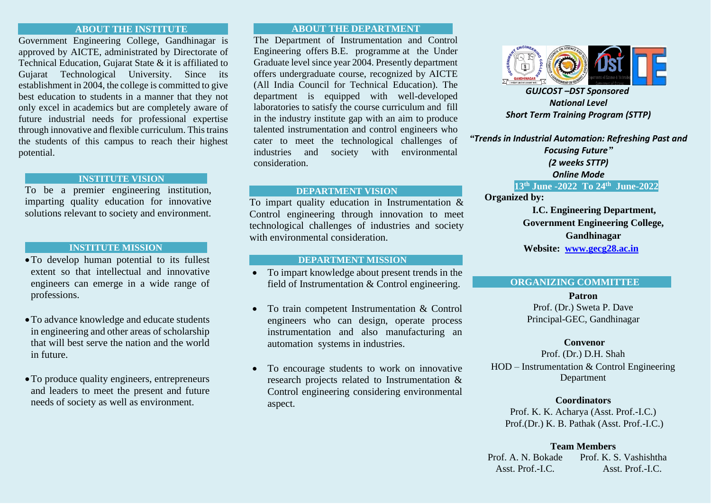# **ABOUT THE INSTITUTE**

Government Engineering College, Gandhinagar is approved by AICTE, administrated by Directorate of Technical Education, Gujarat State & it is affiliated to Gujarat Technological University. Since its establishment in 2004, the college is committed to give best education to students in a manner that they not only excel in academics but are completely aware of future industrial needs for professional expertise through innovative and flexible curriculum. This trains the students of this campus to reach their highest potential.

### **INSTITUTE VISION**

To be a premier engineering institution, imparting quality education for innovative solutions relevant to society and environment.

### **INSTITUTE MISSION**

- •To develop human potential to its fullest extent so that intellectual and innovative engineers can emerge in a wide range of professions.
- •To advance knowledge and educate students in engineering and other areas of scholarship that will best serve the nation and the world in future.
- •To produce quality engineers, entrepreneurs and leaders to meet the present and future needs of society as well as environment.

# **ABOUT THE DEPARTMENT**

The Department of Instrumentation and Control Engineering offers B.E. programme at the Under Graduate level since year 2004. Presently department offers undergraduate course, recognized by AICTE (All India Council for Technical Education). The department is equipped with well-developed laboratories to satisfy the course curriculum and fill in the industry institute gap with an aim to produce talented instrumentation and control engineers who cater to meet the technological challenges of industries and society with environmental consideration.

# **DEPARTMENT VISION**

To impart quality education in Instrumentation & Control engineering through innovation to meet technological challenges of industries and society with environmental consideration.

### **DEPARTMENT MISSION**

- To impart knowledge about present trends in the field of Instrumentation & Control engineering.
- To train competent Instrumentation & Control engineers who can design, operate process instrumentation and also manufacturing an automation systems in industries.
- To encourage students to work on innovative research projects related to Instrumentation & Control engineering considering environmental aspect.



*GUJCOST –DST Sponsored National Level Short Term Training Program (STTP)*

*"Trends in Industrial Automation: Refreshing Past and Focusing Future" (2 weeks STTP)*

*Online Mode*

# **13th June -2022 To 24th June-2022**

**Organized by:**

 **I.C. Engineering Department, Government Engineering College, Gandhinagar Website: www.gecg28.ac.in**

### **ORGANIZING COMMITTEE**

**Patron** Prof. (Dr.) Sweta P. Dave Principal-GEC, Gandhinagar

### **Convenor**

Prof. (Dr.) D.H. Shah HOD – Instrumentation & Control Engineering Department

### **Coordinators**

Prof. K. K. Acharya (Asst. Prof.-I.C.) Prof.(Dr.) K. B. Pathak (Asst. Prof.-I.C.)

### **Team Members**

Prof. A. N. Bokade Asst. Prof.-I.C. Prof. K. S. Vashishtha Asst. Prof.-I.C.